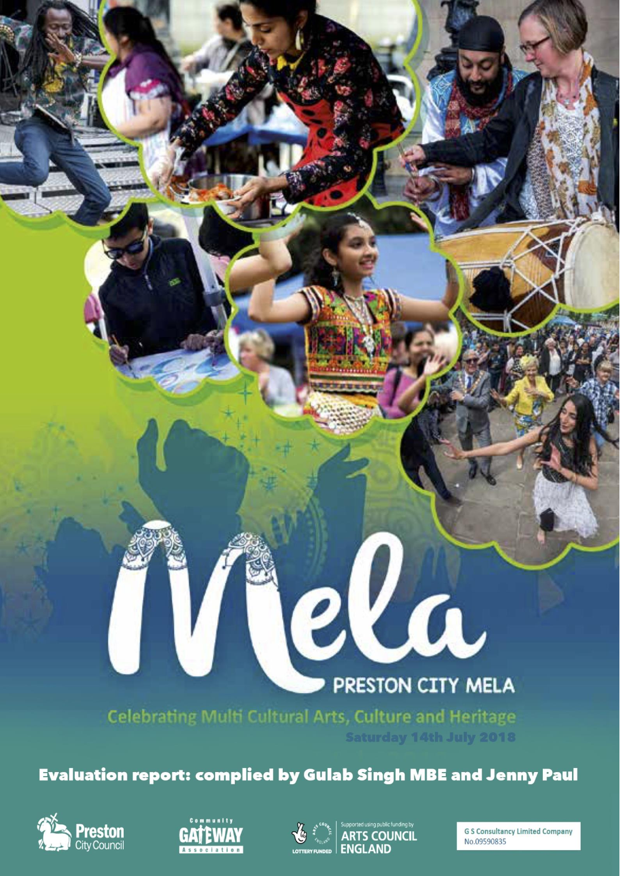# PRESTON CITY MELA

**Celebrating Multi Cultural Arts, Culture and Heritage Saturday 14th July 2018** 

**Evaluation report: complied by Gulab Singh MBE and Jenny Paul** 





 $\boldsymbol{M}$ 



iela

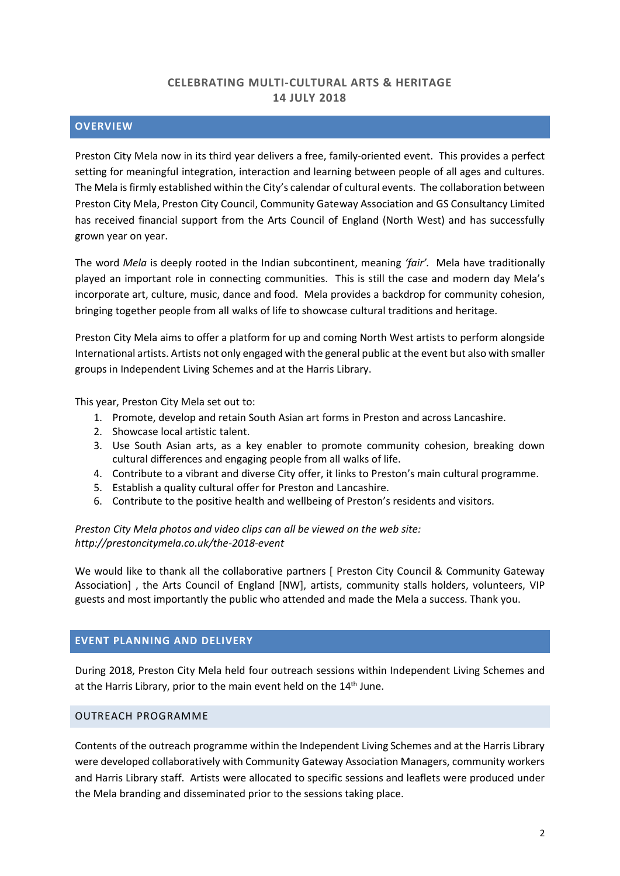## **CELEBRATING MULTI-CULTURAL ARTS & HERITAGE 14 JULY 2018**

## **OVERVIEW**

Preston City Mela now in its third year delivers a free, family-oriented event. This provides a perfect setting for meaningful integration, interaction and learning between people of all ages and cultures. The Mela is firmly established within the City's calendar of cultural events. The collaboration between Preston City Mela, Preston City Council, Community Gateway Association and GS Consultancy Limited has received financial support from the Arts Council of England (North West) and has successfully grown year on year.

The word *Mela* is deeply rooted in the Indian subcontinent, meaning *'fair'.* Mela have traditionally played an important role in connecting communities. This is still the case and modern day Mela's incorporate art, culture, music, dance and food. Mela provides a backdrop for community cohesion, bringing together people from all walks of life to showcase cultural traditions and heritage.

Preston City Mela aims to offer a platform for up and coming North West artists to perform alongside International artists. Artists not only engaged with the general public at the event but also with smaller groups in Independent Living Schemes and at the Harris Library.

This year, Preston City Mela set out to:

- 1. Promote, develop and retain South Asian art forms in Preston and across Lancashire.
- 2. Showcase local artistic talent.
- 3. Use South Asian arts, as a key enabler to promote community cohesion, breaking down cultural differences and engaging people from all walks of life.
- 4. Contribute to a vibrant and diverse City offer, it links to Preston's main cultural programme.
- 5. Establish a quality cultural offer for Preston and Lancashire.
- 6. Contribute to the positive health and wellbeing of Preston's residents and visitors.

*Preston City Mela photos and video clips can all be viewed on the web site: http://prestoncitymela.co.uk/the-2018-event*

We would like to thank all the collaborative partners [ Preston City Council & Community Gateway Association] , the Arts Council of England [NW], artists, community stalls holders, volunteers, VIP guests and most importantly the public who attended and made the Mela a success. Thank you.

## **EVENT PLANNING AND DELIVERY**

During 2018, Preston City Mela held four outreach sessions within Independent Living Schemes and at the Harris Library, prior to the main event held on the 14<sup>th</sup> June.

#### OUTREACH PROGRAMME

Contents of the outreach programme within the Independent Living Schemes and at the Harris Library were developed collaboratively with Community Gateway Association Managers, community workers and Harris Library staff. Artists were allocated to specific sessions and leaflets were produced under the Mela branding and disseminated prior to the sessions taking place.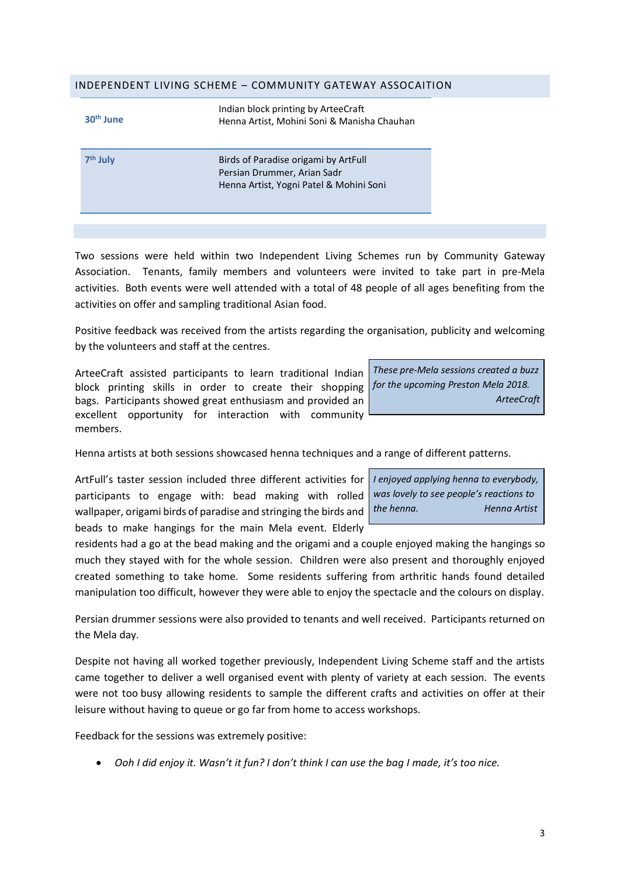#### INDEPENDENT LIVING SCHEME – COMMUNITY GATEWAY ASSOCAITION

| 30 <sup>th</sup> June | Indian block printing by ArteeCraft<br>Henna Artist, Mohini Soni & Manisha Chauhan                             |
|-----------------------|----------------------------------------------------------------------------------------------------------------|
| 7 <sup>th</sup> July  | Birds of Paradise origami by ArtFull<br>Persian Drummer, Arian Sadr<br>Henna Artist, Yogni Patel & Mohini Soni |

Two sessions were held within two Independent Living Schemes run by Community Gateway Association. Tenants, family members and volunteers were invited to take part in pre-Mela activities. Both events were well attended with a total of 48 people of all ages benefiting from the activities on offer and sampling traditional Asian food.

Positive feedback was received from the artists regarding the organisation, publicity and welcoming by the volunteers and staff at the centres.

ArteeCraft assisted participants to learn traditional Indian block printing skills in order to create their shopping *for the upcoming Preston Mela 2018.* bags. Participants showed great enthusiasm and provided an excellent opportunity for interaction with community members.

*These pre-Mela sessions created a buzz ArteeCraft*

Henna artists at both sessions showcased henna techniques and a range of different patterns.

ArtFull's taster session included three different activities for *I enjoyed applying henna to everybody,* participants to engage with: bead making with rolled wallpaper, origami birds of paradise and stringing the birds and *the henna. Henna Artist*beads to make hangings for the main Mela event. Elderly

*was lovely to see people's reactions to*

residents had a go at the bead making and the origami and a couple enjoyed making the hangings so much they stayed with for the whole session. Children were also present and thoroughly enjoyed created something to take home. Some residents suffering from arthritic hands found detailed manipulation too difficult, however they were able to enjoy the spectacle and the colours on display.

Persian drummer sessions were also provided to tenants and well received. Participants returned on the Mela day.

Despite not having all worked together previously, Independent Living Scheme staff and the artists came together to deliver a well organised event with plenty of variety at each session. The events were not too busy allowing residents to sample the different crafts and activities on offer at their leisure without having to queue or go far from home to access workshops.

Feedback for the sessions was extremely positive:

• Ooh I did enjoy it. Wasn't it fun? I don't think I can use the bag I made, it's too nice.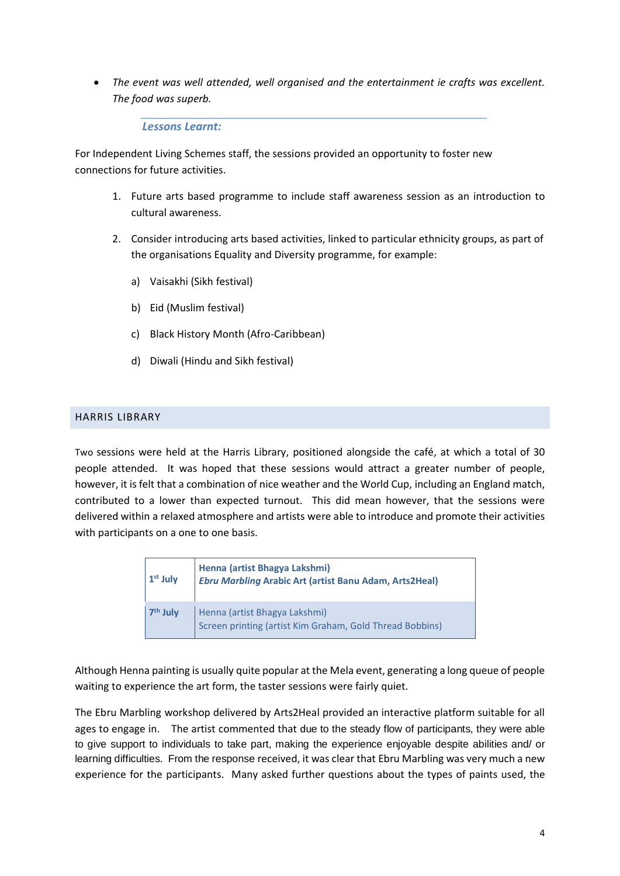• *The event was well attended, well organised and the entertainment ie crafts was excellent. The food was superb.*

*Lessons Learnt:*

For Independent Living Schemes staff, the sessions provided an opportunity to foster new connections for future activities.

- 1. Future arts based programme to include staff awareness session as an introduction to cultural awareness.
- 2. Consider introducing arts based activities, linked to particular ethnicity groups, as part of the organisations Equality and Diversity programme, for example:
	- a) Vaisakhi (Sikh festival)
	- b) Eid (Muslim festival)
	- c) Black History Month (Afro-Caribbean)
	- d) Diwali (Hindu and Sikh festival)

## HARRIS LIBRARY

Two sessions were held at the Harris Library, positioned alongside the café, at which a total of 30 people attended. It was hoped that these sessions would attract a greater number of people, however, it is felt that a combination of nice weather and the World Cup, including an England match, contributed to a lower than expected turnout. This did mean however, that the sessions were delivered within a relaxed atmosphere and artists were able to introduce and promote their activities with participants on a one to one basis.

| $1st$ July           | Henna (artist Bhagya Lakshmi)<br><b>Ebru Marbling Arabic Art (artist Banu Adam, Arts2Heal)</b> |
|----------------------|------------------------------------------------------------------------------------------------|
| 7 <sup>th</sup> July | Henna (artist Bhagya Lakshmi)<br>Screen printing (artist Kim Graham, Gold Thread Bobbins)      |

Although Henna painting is usually quite popular at the Mela event, generating a long queue of people waiting to experience the art form, the taster sessions were fairly quiet.

The Ebru Marbling workshop delivered by Arts2Heal provided an interactive platform suitable for all ages to engage in. The artist commented that due to the steady flow of participants, they were able to give support to individuals to take part, making the experience enjoyable despite abilities and/ or learning difficulties. From the response received, it was clear that Ebru Marbling was very much a new experience for the participants. Many asked further questions about the types of paints used, the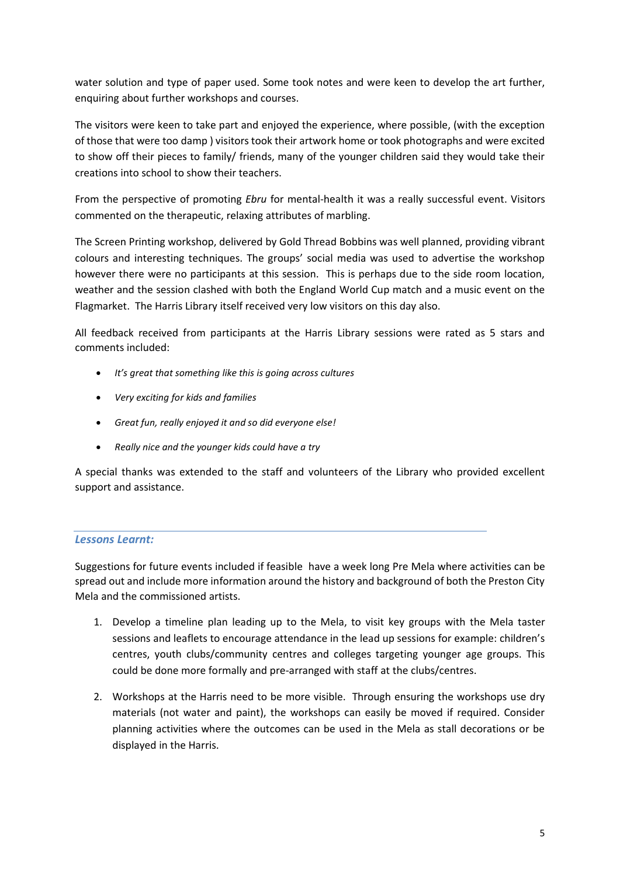water solution and type of paper used. Some took notes and were keen to develop the art further, enquiring about further workshops and courses.

The visitors were keen to take part and enjoyed the experience, where possible, (with the exception of those that were too damp ) visitors took their artwork home or took photographs and were excited to show off their pieces to family/ friends, many of the younger children said they would take their creations into school to show their teachers.

From the perspective of promoting *Ebru* for mental-health it was a really successful event. Visitors commented on the therapeutic, relaxing attributes of marbling.

The Screen Printing workshop, delivered by Gold Thread Bobbins was well planned, providing vibrant colours and interesting techniques. The groups' social media was used to advertise the workshop however there were no participants at this session. This is perhaps due to the side room location, weather and the session clashed with both the England World Cup match and a music event on the Flagmarket. The Harris Library itself received very low visitors on this day also.

All feedback received from participants at the Harris Library sessions were rated as 5 stars and comments included:

- *It's great that something like this is going across cultures*
- *Very exciting for kids and families*
- *Great fun, really enjoyed it and so did everyone else!*
- *Really nice and the younger kids could have a try*

A special thanks was extended to the staff and volunteers of the Library who provided excellent support and assistance.

## *Lessons Learnt:*

Suggestions for future events included if feasible have a week long Pre Mela where activities can be spread out and include more information around the history and background of both the Preston City Mela and the commissioned artists.

- 1. Develop a timeline plan leading up to the Mela, to visit key groups with the Mela taster sessions and leaflets to encourage attendance in the lead up sessions for example: children's centres, youth clubs/community centres and colleges targeting younger age groups. This could be done more formally and pre-arranged with staff at the clubs/centres.
- 2. Workshops at the Harris need to be more visible. Through ensuring the workshops use dry materials (not water and paint), the workshops can easily be moved if required. Consider planning activities where the outcomes can be used in the Mela as stall decorations or be displayed in the Harris.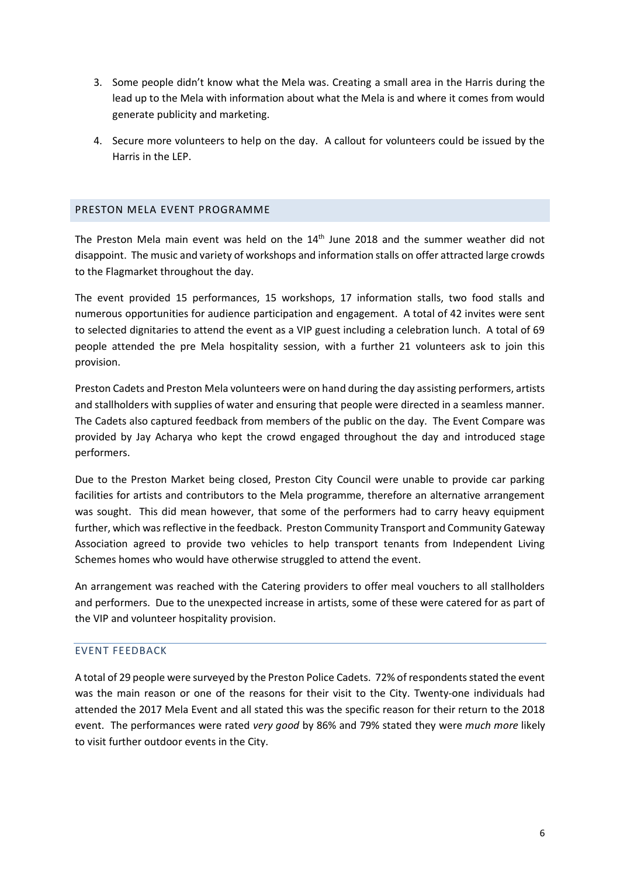- 3. Some people didn't know what the Mela was. Creating a small area in the Harris during the lead up to the Mela with information about what the Mela is and where it comes from would generate publicity and marketing.
- 4. Secure more volunteers to help on the day. A callout for volunteers could be issued by the Harris in the LEP.

## PRESTON MELA EVENT PROGRAMME

The Preston Mela main event was held on the 14<sup>th</sup> June 2018 and the summer weather did not disappoint. The music and variety of workshops and information stalls on offer attracted large crowds to the Flagmarket throughout the day.

The event provided 15 performances, 15 workshops, 17 information stalls, two food stalls and numerous opportunities for audience participation and engagement. A total of 42 invites were sent to selected dignitaries to attend the event as a VIP guest including a celebration lunch. A total of 69 people attended the pre Mela hospitality session, with a further 21 volunteers ask to join this provision.

Preston Cadets and Preston Mela volunteers were on hand during the day assisting performers, artists and stallholders with supplies of water and ensuring that people were directed in a seamless manner. The Cadets also captured feedback from members of the public on the day. The Event Compare was provided by Jay Acharya who kept the crowd engaged throughout the day and introduced stage performers.

Due to the Preston Market being closed, Preston City Council were unable to provide car parking facilities for artists and contributors to the Mela programme, therefore an alternative arrangement was sought. This did mean however, that some of the performers had to carry heavy equipment further, which was reflective in the feedback. Preston Community Transport and Community Gateway Association agreed to provide two vehicles to help transport tenants from Independent Living Schemes homes who would have otherwise struggled to attend the event.

An arrangement was reached with the Catering providers to offer meal vouchers to all stallholders and performers. Due to the unexpected increase in artists, some of these were catered for as part of the VIP and volunteer hospitality provision.

## EVENT FEEDBACK

A total of 29 people were surveyed by the Preston Police Cadets. 72% ofrespondentsstated the event was the main reason or one of the reasons for their visit to the City. Twenty-one individuals had attended the 2017 Mela Event and all stated this was the specific reason for their return to the 2018 event. The performances were rated *very good* by 86% and 79% stated they were *much more* likely to visit further outdoor events in the City.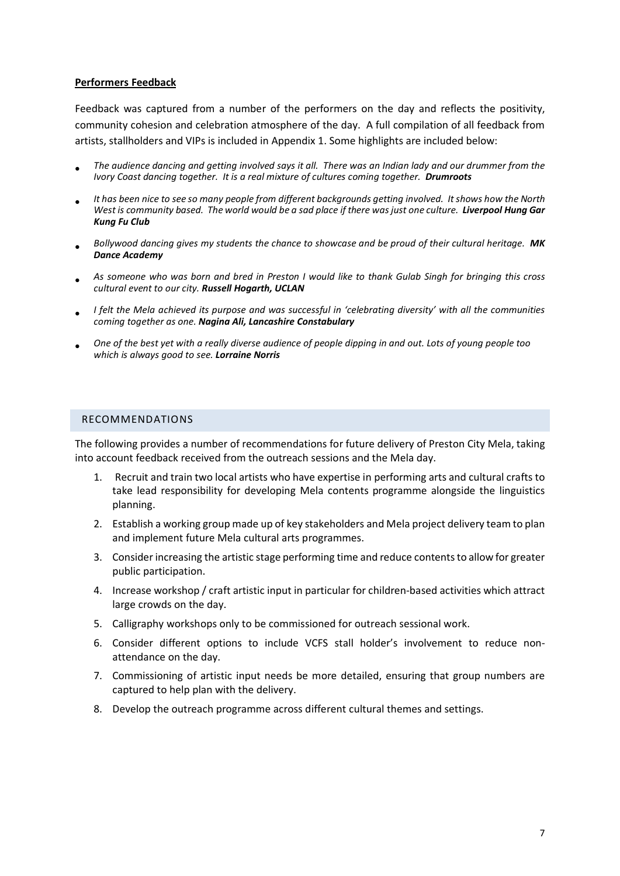#### **Performers Feedback**

Feedback was captured from a number of the performers on the day and reflects the positivity, community cohesion and celebration atmosphere of the day. A full compilation of all feedback from artists, stallholders and VIPs is included in Appendix 1. Some highlights are included below:

- The audience dancing and getting involved says it all. There was an Indian lady and our drummer from the *Ivory Coast dancing together. It is a real mixture of cultures coming together. Drumroots*
- *It has been nice to see so many people from different backgrounds getting involved. Itshows how the North* West is community based. The world would be a sad place if there was just one culture. Liverpool Hung Gar *Kung Fu Club*
- *Bollywood dancing gives my students the chance to showcase and be proud of their cultural heritage. MK Dance Academy*
- As someone who was born and bred in Preston I would like to thank Gulab Singh for bringing this cross *cultural event to our city. Russell Hogarth, UCLAN*
- I felt the Mela achieved its purpose and was successful in 'celebrating diversity' with all the communities *coming together as one. Nagina Ali, Lancashire Constabulary*
- One of the best yet with a really diverse audience of people dipping in and out. Lots of young people too *which is always good to see. Lorraine Norris*

#### RECOMMENDATIONS

The following provides a number of recommendations for future delivery of Preston City Mela, taking into account feedback received from the outreach sessions and the Mela day.

- 1. Recruit and train two local artists who have expertise in performing arts and cultural crafts to take lead responsibility for developing Mela contents programme alongside the linguistics planning.
- 2. Establish a working group made up of key stakeholders and Mela project delivery team to plan and implement future Mela cultural arts programmes.
- 3. Consider increasing the artistic stage performing time and reduce contents to allow for greater public participation.
- 4. Increase workshop / craft artistic input in particular for children-based activities which attract large crowds on the day.
- 5. Calligraphy workshops only to be commissioned for outreach sessional work.
- 6. Consider different options to include VCFS stall holder's involvement to reduce nonattendance on the day.
- 7. Commissioning of artistic input needs be more detailed, ensuring that group numbers are captured to help plan with the delivery.
- 8. Develop the outreach programme across different cultural themes and settings.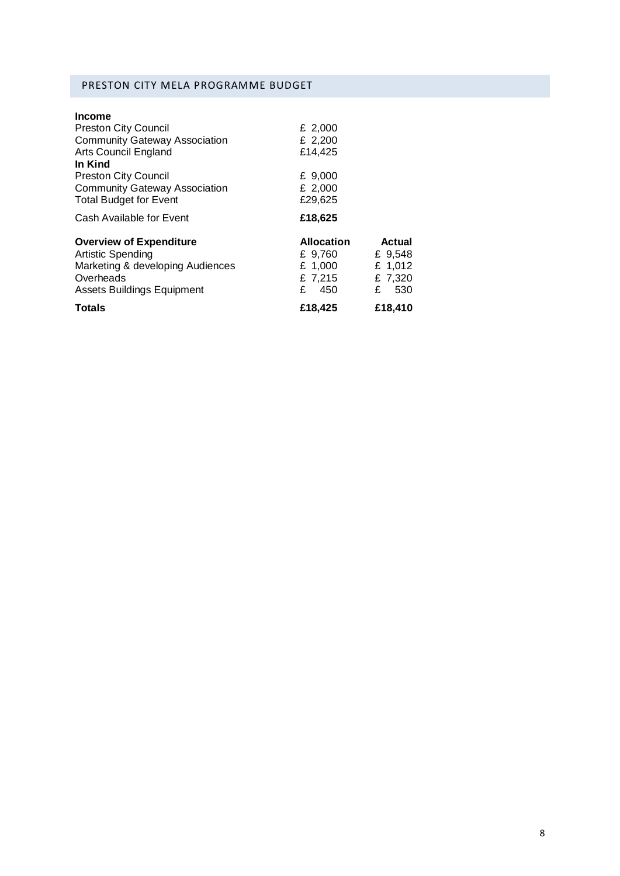# PRESTON CITY MELA PROGRAMME BUDGET

| <b>Income</b>                        |                   |               |
|--------------------------------------|-------------------|---------------|
| <b>Preston City Council</b>          | £ 2,000           |               |
| <b>Community Gateway Association</b> | £ 2,200           |               |
| <b>Arts Council England</b>          | £14,425           |               |
| In Kind                              |                   |               |
| <b>Preston City Council</b>          | £ 9,000           |               |
| <b>Community Gateway Association</b> | £ 2,000           |               |
| <b>Total Budget for Event</b>        | £29.625           |               |
| Cash Available for Event             | £18,625           |               |
| <b>Overview of Expenditure</b>       | <b>Allocation</b> | <b>Actual</b> |
| <b>Artistic Spending</b>             | £ 9,760           | £ 9,548       |
| Marketing & developing Audiences     | £ 1,000           | £ 1,012       |
| Overheads                            | £ 7,215           | £ 7,320       |
| <b>Assets Buildings Equipment</b>    | £<br>450          | 530<br>£      |
| <b>Totals</b>                        | £18,425           | £18,410       |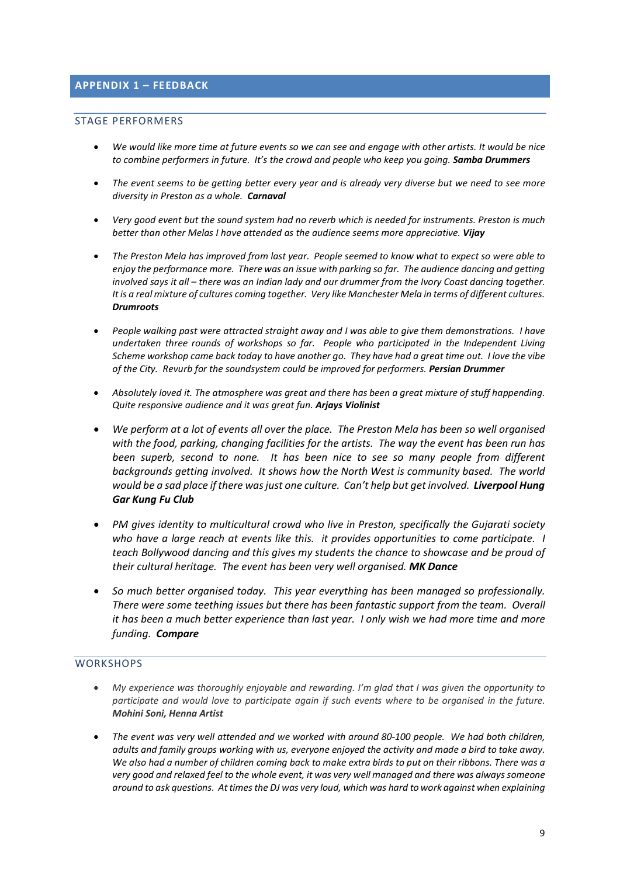## **APPENDIX 1 – FEEDBACK**

#### STAGE PERFORMERS

- We would like more time at future events so we can see and engage with other artists. It would be nice *to combine performers in future. It's the crowd and people who keep you going. Samba Drummers*
- The event seems to be getting better every year and is already very diverse but we need to see more *diversity in Preston as a whole. Carnaval*
- Very good event but the sound system had no reverb which is needed for instruments. Preston is much *better than other Melas I have attended as the audience seems more appreciative. Vijay*
- The Preston Mela has improved from last year. People seemed to know what to expect so were able to *enjoy the performance more. There was an issue with parking so far. The audience dancing and getting* involved says it all - there was an Indian lady and our drummer from the Ivory Coast dancing together. *Itis a real mixture of cultures coming together. Very like Manchester Mela in terms of different cultures. Drumroots*
- *People walking past were attracted straight away and I was able to give them demonstrations. I have undertaken three rounds of workshops so far. People who participated in the Independent Living* Scheme workshop came back today to have another go. They have had a great time out. I love the vibe *of the City. Revurb for the soundsystem could be improved for performers. Persian Drummer*
- *Absolutely loved it. The atmosphere was great and there has been a great mixture of stuff happending. Quite responsive audience and it was great fun. Arjays Violinist*
- *We perform at a lot of events all over the place. The Preston Mela has been so well organised with the food, parking, changing facilities for the artists. The way the event has been run has been superb, second to none. It has been nice to see so many people from different backgrounds getting involved. It shows how the North West is community based. The world would be a sad place if there wasjust one culture. Can't help but get involved. Liverpool Hung Gar Kung Fu Club*
- *PM gives identity to multicultural crowd who live in Preston, specifically the Gujarati society who have a large reach at events like this. it provides opportunities to come participate. I teach Bollywood dancing and this gives my students the chance to showcase and be proud of their cultural heritage. The event has been very well organised. MK Dance*
- *So much better organised today. This year everything has been managed so professionally. There were some teething issues but there has been fantastic support from the team. Overall it has been a much better experience than last year. I only wish we had more time and more funding. Compare*

#### **WORKSHOPS**

- *My experience was thoroughly enjoyable and rewarding. I'm glad that I was given the opportunity to participate and would love to participate again if such events where to be organised in the future. Mohini Soni, Henna Artist*
- *The event was very well attended and we worked with around 80-100 people. We had both children,* adults and family groups working with us, everyone enjoyed the activity and made a bird to take away. We also had a number of children coming back to make extra birds to put on their ribbons. There was a very good and relaxed feel to the whole event, it was very well managed and there was always someone *around to ask questions. Attimesthe DJ was very loud, which was hard to work against when explaining*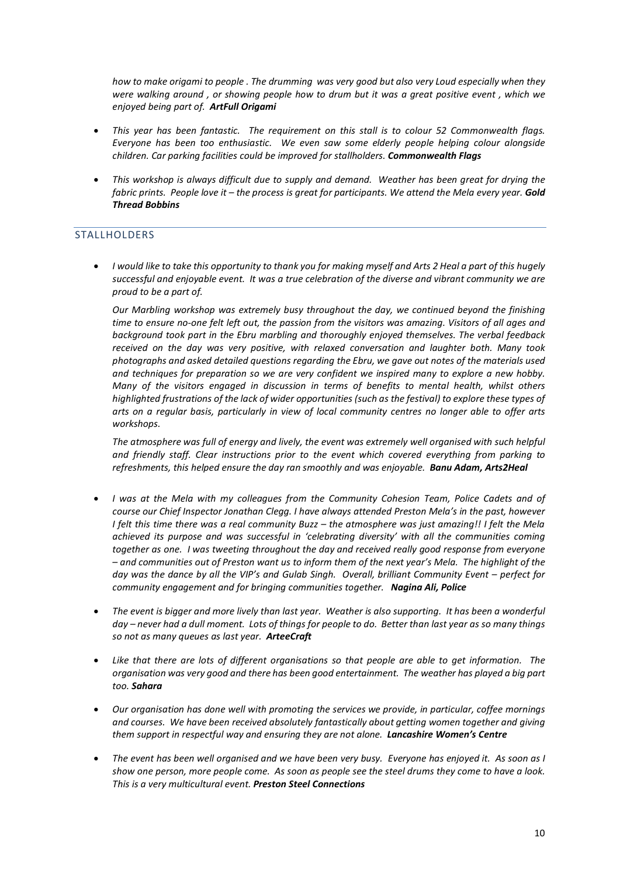*how to make origami to people . The drumming was very good but also very Loud especially when they* were walking around, or showing people how to drum but it was a great positive event, which we *enjoyed being part of. ArtFull Origami*

- *This year has been fantastic. The requirement on this stall is to colour 52 Commonwealth flags. Everyone has been too enthusiastic. We even saw some elderly people helping colour alongside children. Car parking facilities could be improved for stallholders. Commonwealth Flags*
- *This workshop is always difficult due to supply and demand. Weather has been great for drying the* fabric prints. People love it  $-$  the process is great for participants. We attend the Mela every year. Gold *Thread Bobbins*

#### **STALLHOLDERS**

I would like to take this opportunity to thank you for making myself and Arts 2 Heal a part of this hugely *successful and enjoyable event. It was a true celebration of the diverse and vibrant community we are proud to be a part of.*

*Our Marbling workshop was extremely busy throughout the day, we continued beyond the finishing* time to ensure no-one felt left out, the passion from the visitors was amazing. Visitors of all ages and *background took part in the Ebru marbling and thoroughly enjoyed themselves. The verbal feedback received on the day was very positive, with relaxed conversation and laughter both. Many took photographs and asked detailed questions regarding the Ebru, we gave out notes of the materials used and techniques for preparation so we are very confident we inspired many to explore a new hobby. Many of the visitors engaged in discussion in terms of benefits to mental health, whilst others* highlighted frustrations of the lack of wider opportunities (such as the festival) to explore these types of arts on a regular basis, particularly in view of local community centres no longer able to offer arts *workshops.* 

*The atmosphere was full of energy and lively, the event was extremely well organised with such helpful and friendly staff. Clear instructions prior to the event which covered everything from parking to refreshments, this helped ensure the day ran smoothly and was enjoyable. Banu Adam, Arts2Heal*

- *I was at the Mela with my colleagues from the Community Cohesion Team, Police Cadets and of course our Chief Inspector Jonathan Clegg. I have always attended Preston Mela's in the past, however* I felt this time there was a real community Buzz - the atmosphere was just amazing!! I felt the Mela *achieved its purpose and was successful in 'celebrating diversity' with all the communities coming together as one. I was tweeting throughout the day and received really good response from everyone* - and communities out of Preston want us to inform them of the next year's Mela. The highlight of the *day was the dance by all the VIP's and Gulab Singh. Overall, brilliant Community Event – perfect for community engagement and for bringing communities together. Nagina Ali, Police*
- *The event is bigger and more lively than last year. Weather is also supporting. It has been a wonderful* day – never had a dull moment. Lots of things for people to do. Better than last year as so many things *so not as many queues as last year. ArteeCraft*
- Like that there are lots of different organisations so that people are able to get information. The *organisation was very good and there has been good entertainment. The weather has played a big part too. Sahara*
- *Our organisation has done well with promoting the services we provide, in particular, coffee mornings and courses. We have been received absolutely fantastically about getting women together and giving them support in respectful way and ensuring they are not alone. Lancashire Women's Centre*
- The event has been well organised and we have been very busy. Everyone has enjoyed it. As soon as I show one person, more people come. As soon as people see the steel drums they come to have a look. *This is a very multicultural event. Preston Steel Connections*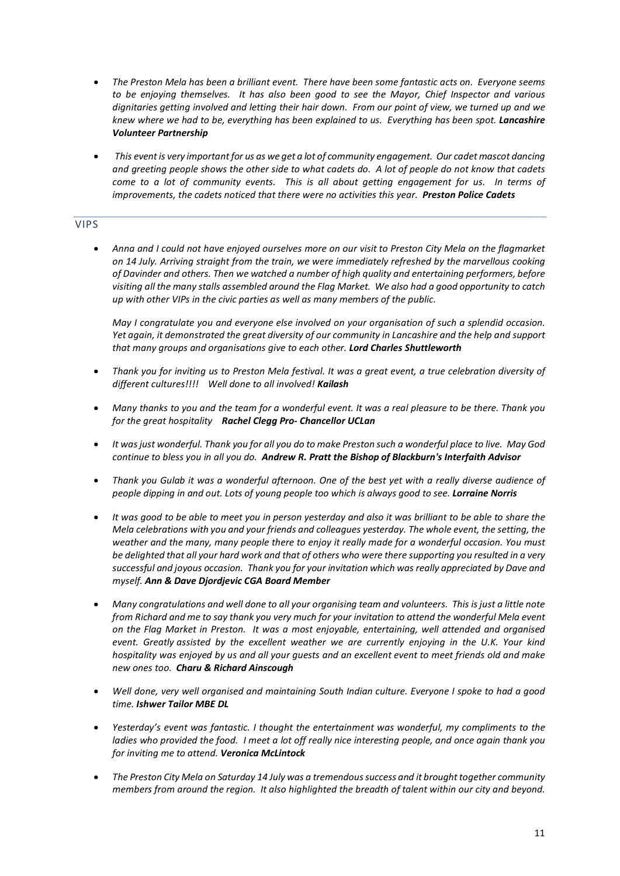- *The Preston Mela has been a brilliant event. There have been some fantastic acts on. Everyone seems to be enjoying themselves. It has also been good to see the Mayor, Chief Inspector and various dignitaries getting involved and letting their hair down. From our point of view, we turned up and we knew where we had to be, everything has been explained to us. Everything has been spot. Lancashire Volunteer Partnership*
- This event is very important for us as we get a lot of community engagement. Our cadet mascot dancing and greeting people shows the other side to what cadets do. A lot of people do not know that cadets *come to a lot of community events. This is all about getting engagement for us. In terms of improvements, the cadets noticed that there were no activities this year. Preston Police Cadets*

## VIPS

• Anna and I could not have enjoyed ourselves more on our visit to Preston City Mela on the flagmarket *on 14 July. Arriving straight from the train, we were immediately refreshed by the marvellous cooking of Davinder and others. Then we watched a number of high quality and entertaining performers, before visiting all the many stalls assembled around the Flag Market. We also had a good opportunity to catch up with other VIPs in the civic parties as well as many members of the public.*

*May I congratulate you and everyone else involved on your organisation of such a splendid occasion. Yet again, it demonstrated the great diversity of our community in Lancashire and the help and support that many groups and organisations give to each other. Lord Charles Shuttleworth*

- Thank you for inviting us to Preston Mela festival. It was a great event, a true celebration diversity of *different cultures!!!! Well done to all involved! Kailash*
- Many thanks to you and the team for a wonderful event. It was a real pleasure to be there. Thank you *for the great hospitality Rachel Clegg Pro- Chancellor UCLan*
- It was just wonderful. Thank you for all you do to make Preston such a wonderful place to live. May God *continue to bless you in all you do. Andrew R. Pratt the Bishop of Blackburn's Interfaith Advisor*
- Thank you Gulab it was a wonderful afternoon. One of the best yet with a really diverse audience of *people dipping in and out. Lots of young people too which is always good to see. Lorraine Norris*
- It was good to be able to meet you in person yesterday and also it was brilliant to be able to share the *Mela celebrations with you and your friends and colleagues yesterday. The whole event, the setting, the weather and the many, many people there to enjoy it really made for a wonderful occasion. You must* be delighted that all your hard work and that of others who were there supporting you resulted in a very *successful and joyous occasion. Thank you for your invitation which was really appreciated by Dave and myself. Ann & Dave Djordjevic CGA Board Member*
- *Many congratulations and well done to all your organising team and volunteers. This isjust a little note* from Richard and me to say thank you very much for your invitation to attend the wonderful Mela event *on the Flag Market in Preston. It was a most enjoyable, entertaining, well attended and organised event. Greatly assisted by the excellent weather we are currently enjoying in the U.K. Your kind* hospitality was enjoyed by us and all your quests and an excellent event to meet friends old and make *new ones too. Charu & Richard Ainscough*
- *Well done, very well organised and maintaining South Indian culture. Everyone I spoke to had a good time. Ishwer Tailor MBE DL*
- *Yesterday's event was fantastic. I thought the entertainment was wonderful, my compliments to the* ladies who provided the food. I meet a lot off really nice interesting people, and once again thank you *for inviting me to attend. Veronica McLintock*
- *The Preston City Mela on Saturday 14 July was a tremendoussuccess and it brought together community members from around the region. It also highlighted the breadth of talent within our city and beyond.*